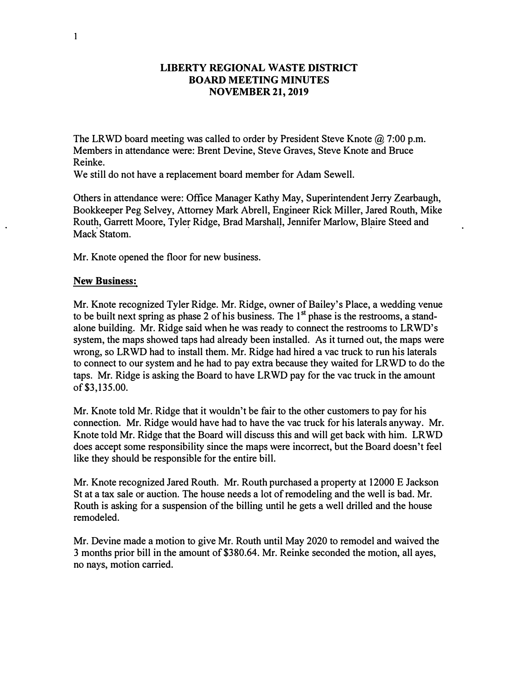## **LIBERTY REGIONAL WASTE DISTRICT BOARD MEETING MINUTES NOVEMBER 21, 2019**

The LRWD board meeting was called to order by President Steve Knote  $\omega$  7:00 p.m. Members in attendance were: Brent Devine, Steve Graves, Steve Knote and Bruce Reinke.

We still do not have a replacement board member for Adam Sewell.

Others in attendance were: Office Manager Kathy May, Superintendent Jerry Zearbaugh, Bookkeeper Peg Selvey, Attorney Mark Abrell, Engineer Rick Miller, Jared Routh, Mike Routh, Garrett Moore, Tyler Ridge, Brad Marshall, Jennifer Marlow, Blaire Steed and Mack<sup>:</sup> Statom. ·

Mr. Knote opened the floor for new business.

## **New Business:**

Mr. Knote recognized Tyler Ridge. Mr. Ridge, owner of Bailey's Place, a wedding venue to be built next spring as phase 2 of his business. The 1 **st** phase is the restrooms, a standalone building. Mr. Ridge said when he was ready to connect the restrooms to LRWD's system, the maps showed taps had already been installed. As it turned out, the maps were wrong, so LRWD had to install them. Mr. Ridge had hired a vac truck to run his laterals to connect to our system and he had to pay extra because they waited for LR WD to do the taps. Mr. Ridge is asking the Board to have LRWD pay for the vac truck in the amount of \$3,135.00.

Mr. Knote told Mr. Ridge that it wouldn't be fair to the other customers to pay for his connection. Mr. Ridge would have had to have the vac truck for his laterals anyway. Mr. Knote told Mr. Ridge that the Board will discuss this and will get back with him. LRWD does accept some responsibility since the maps were incorrect, but the Board doesn't feel like they should be responsible for the entire bill.

Mr. Knote recognized Jared Routh. Mr. Routh purchased a property at 12000 E Jackson St at a tax sale or auction. The house needs a lot of remodeling and the well is bad. Mr. Routh is asking for a suspension of the billing until he gets a well drilled and the house remodeled.

Mr. Devine made a motion to give Mr. Routh until May 2020 to remodel and waived the 3 months prior bill in the amount of \$380.64. Mr. Reinke seconded the motion, all ayes, no nays, motion carried.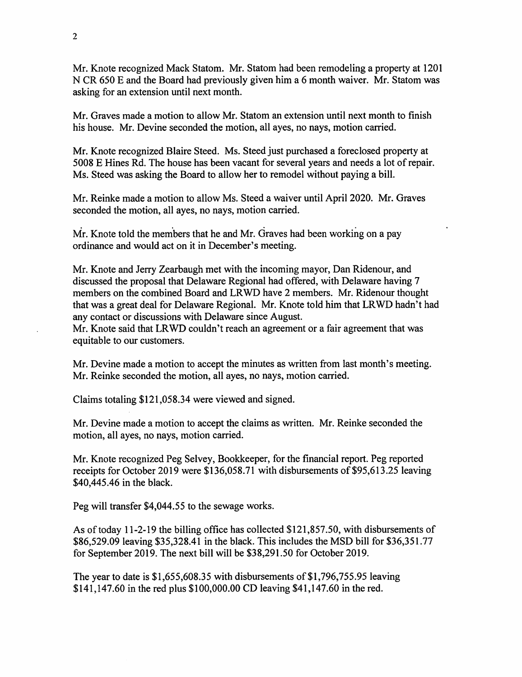Mr. Knote recognized Mack Statom. Mr. Statom had been remodeling a property at 1201 N CR 650 E and the Board had previously given him a 6 month waiver. Mr. Statom was asking for an extension until next month.

Mr. Graves made a motion to allow Mr. Statom an extension until next month to finish his house. Mr. Devine seconded the motion, all ayes, no nays, motion carried.

Mr. Knote recognized Blaire Steed. Ms. Steed just purchased a foreclosed property at 5008 E Hines Rd. The house has been vacant for several years and needs a lot of repair. Ms. Steed was asking the Board to allow her to remodel without paying a bill.

Mr. Reinke made a motion to allow Ms. Steed a waiver until April 2020. Mr. Graves seconded the motion, all ayes, no nays, motion carried.

Mr. Knote told the members that he and Mr. Graves had been working on a pay ordinance and would act on it in December's meeting.

Mr. Knote and Jerry Zearbaugh met with the incoming mayor, Dan Ridenour, and discussed the proposal that Delaware Regional had offered, with Delaware having 7 members on the combined Board and LRWD have 2 members. Mr. Ridenour thought that was a great deal for Delaware Regional. Mr. Knote told him that LRWD hadn't had any contact or discussions with Delaware since August.

Mr. Knote said that LRWD couldn't reach an agreement or a fair agreement that was equitable to our customers.

Mr. Devine made a motion to accept the minutes as written from last month's meeting. Mr. Reinke seconded the motion, all ayes, no nays, motion carried.

Claims totaling \$121,058.34 were viewed and signed.

Mr. Devine made a motion to accept the claims as written. Mr. Reinke seconded the motion, all ayes, no nays, motion carried.

Mr. Knote recognized Peg Selvey, Bookkeeper, for the financial report. Peg reported receipts for October 2019 were \$136,058.71 with disbursements of \$95,613.25 leaving \$40,445.46 in the black.

Peg will transfer \$4,044.55 to the sewage works.

As of today 11-2-19 the billing office has collected \$121,857.50, with disbursements of \$86,529.09 leaving \$35,328.41 in the black. This includes the MSD bill for \$36,351.77 for September 2019. The next bill will be \$38,291.50 for October 2019.

The year to date is \$1,655,608.35 with disbursements of \$1,796,755.95 leaving \$141,147.60 in the red plus \$100,000.00 CD leaving \$41,147.60 in the red.